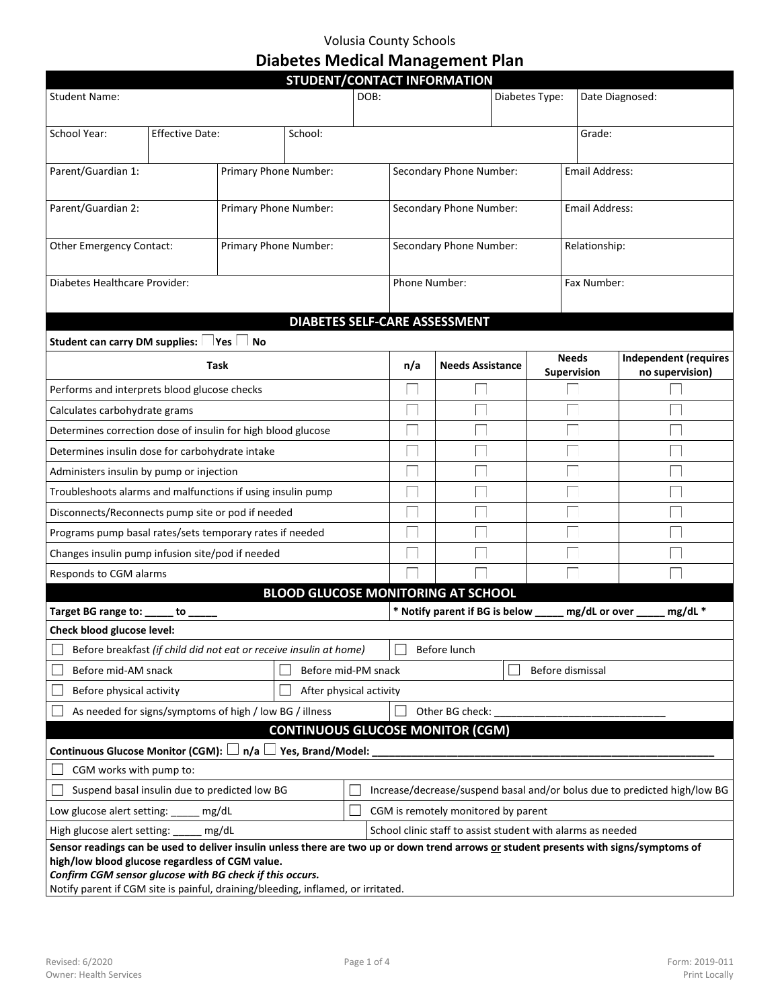## Volusia County Schools **Diabetes Medical Management Plan**

| STUDENT/CONTACT INFORMATION                                                                                                                                                    |                                                                            |                                         |         |                                                                           |                                                  |                                |                 |               |               |                              |
|--------------------------------------------------------------------------------------------------------------------------------------------------------------------------------|----------------------------------------------------------------------------|-----------------------------------------|---------|---------------------------------------------------------------------------|--------------------------------------------------|--------------------------------|-----------------|---------------|---------------|------------------------------|
| <b>Student Name:</b>                                                                                                                                                           |                                                                            |                                         | DOB:    |                                                                           | Diabetes Type:                                   |                                | Date Diagnosed: |               |               |                              |
|                                                                                                                                                                                |                                                                            |                                         |         |                                                                           |                                                  |                                |                 |               |               |                              |
| School Year:                                                                                                                                                                   | Effective Date:                                                            |                                         | School: |                                                                           |                                                  |                                |                 |               | Grade:        |                              |
| Parent/Guardian 1:                                                                                                                                                             | Primary Phone Number:                                                      |                                         |         |                                                                           | <b>Email Address:</b><br>Secondary Phone Number: |                                |                 |               |               |                              |
|                                                                                                                                                                                |                                                                            |                                         |         |                                                                           |                                                  |                                |                 |               |               |                              |
| Parent/Guardian 2:                                                                                                                                                             |                                                                            | Primary Phone Number:                   |         |                                                                           | Secondary Phone Number:<br><b>Email Address:</b> |                                |                 |               |               |                              |
| Other Emergency Contact:                                                                                                                                                       |                                                                            | Primary Phone Number:                   |         |                                                                           | Secondary Phone Number:                          |                                |                 | Relationship: |               |                              |
| Diabetes Healthcare Provider:                                                                                                                                                  |                                                                            |                                         |         |                                                                           | Phone Number:                                    |                                |                 |               | Fax Number:   |                              |
|                                                                                                                                                                                |                                                                            |                                         |         |                                                                           |                                                  |                                |                 |               |               |                              |
|                                                                                                                                                                                |                                                                            |                                         |         |                                                                           |                                                  | DIABETES SELF-CARE ASSESSMENT  |                 |               |               |                              |
| <b>Student can carry DM supplies:</b>                                                                                                                                          |                                                                            | Yes<br>No                               |         |                                                                           |                                                  |                                |                 | <b>Needs</b>  |               | <b>Independent (requires</b> |
|                                                                                                                                                                                | Task                                                                       |                                         |         |                                                                           | n/a                                              | <b>Needs Assistance</b>        |                 | Supervision   |               | no supervision)              |
| Performs and interprets blood glucose checks                                                                                                                                   |                                                                            |                                         |         |                                                                           |                                                  |                                |                 |               |               |                              |
| Calculates carbohydrate grams                                                                                                                                                  |                                                                            |                                         |         |                                                                           |                                                  |                                |                 |               |               |                              |
| Determines correction dose of insulin for high blood glucose                                                                                                                   |                                                                            |                                         |         |                                                                           |                                                  |                                |                 |               |               |                              |
| Determines insulin dose for carbohydrate intake                                                                                                                                |                                                                            |                                         |         |                                                                           |                                                  |                                |                 |               |               |                              |
| Administers insulin by pump or injection                                                                                                                                       |                                                                            |                                         |         |                                                                           |                                                  |                                |                 |               |               |                              |
| Troubleshoots alarms and malfunctions if using insulin pump                                                                                                                    |                                                                            |                                         |         |                                                                           |                                                  |                                |                 |               |               |                              |
| Disconnects/Reconnects pump site or pod if needed                                                                                                                              |                                                                            |                                         |         |                                                                           |                                                  |                                |                 |               |               |                              |
| Programs pump basal rates/sets temporary rates if needed                                                                                                                       |                                                                            |                                         |         |                                                                           |                                                  |                                |                 |               |               |                              |
| Changes insulin pump infusion site/pod if needed                                                                                                                               |                                                                            |                                         |         |                                                                           |                                                  |                                |                 |               |               |                              |
| Responds to CGM alarms                                                                                                                                                         |                                                                            |                                         |         |                                                                           |                                                  |                                |                 |               |               |                              |
| <b>BLOOD GLUCOSE MONITORING AT SCHOOL</b>                                                                                                                                      |                                                                            |                                         |         |                                                                           |                                                  |                                |                 |               |               |                              |
| Target BG range to: _____ to ____                                                                                                                                              |                                                                            |                                         |         |                                                                           |                                                  | * Notify parent if BG is below |                 |               | mg/dL or over | $mg/dL$ *                    |
| Check blood glucose level:                                                                                                                                                     |                                                                            |                                         |         |                                                                           |                                                  |                                |                 |               |               |                              |
| Before breakfast (if child did not eat or receive insulin at home)                                                                                                             |                                                                            |                                         |         |                                                                           | Before lunch                                     |                                |                 |               |               |                              |
| Before mid-AM snack                                                                                                                                                            |                                                                            | Before mid-PM snack<br>Before dismissal |         |                                                                           |                                                  |                                |                 |               |               |                              |
|                                                                                                                                                                                | Before physical activity<br>After physical activity                        |                                         |         |                                                                           |                                                  |                                |                 |               |               |                              |
|                                                                                                                                                                                | As needed for signs/symptoms of high / low BG / illness<br>Other BG check: |                                         |         |                                                                           |                                                  |                                |                 |               |               |                              |
| <b>CONTINUOUS GLUCOSE MONITOR (CGM)</b>                                                                                                                                        |                                                                            |                                         |         |                                                                           |                                                  |                                |                 |               |               |                              |
| Continuous Glucose Monitor (CGM):<br>$n/a \Box$ Yes, Brand/Model:                                                                                                              |                                                                            |                                         |         |                                                                           |                                                  |                                |                 |               |               |                              |
| CGM works with pump to:                                                                                                                                                        |                                                                            |                                         |         |                                                                           |                                                  |                                |                 |               |               |                              |
| Suspend basal insulin due to predicted low BG                                                                                                                                  |                                                                            |                                         |         | Increase/decrease/suspend basal and/or bolus due to predicted high/low BG |                                                  |                                |                 |               |               |                              |
| Low glucose alert setting:<br>mg/dL<br>CGM is remotely monitored by parent                                                                                                     |                                                                            |                                         |         |                                                                           |                                                  |                                |                 |               |               |                              |
| mg/dL<br>High glucose alert setting:<br>Sensor readings can be used to deliver insulin unless there are two up or down trend arrows or student presents with signs/symptoms of |                                                                            |                                         |         | School clinic staff to assist student with alarms as needed               |                                                  |                                |                 |               |               |                              |
| high/low blood glucose regardless of CGM value.                                                                                                                                |                                                                            |                                         |         |                                                                           |                                                  |                                |                 |               |               |                              |
| Confirm CGM sensor glucose with BG check if this occurs.                                                                                                                       |                                                                            |                                         |         |                                                                           |                                                  |                                |                 |               |               |                              |
| Notify parent if CGM site is painful, draining/bleeding, inflamed, or irritated.                                                                                               |                                                                            |                                         |         |                                                                           |                                                  |                                |                 |               |               |                              |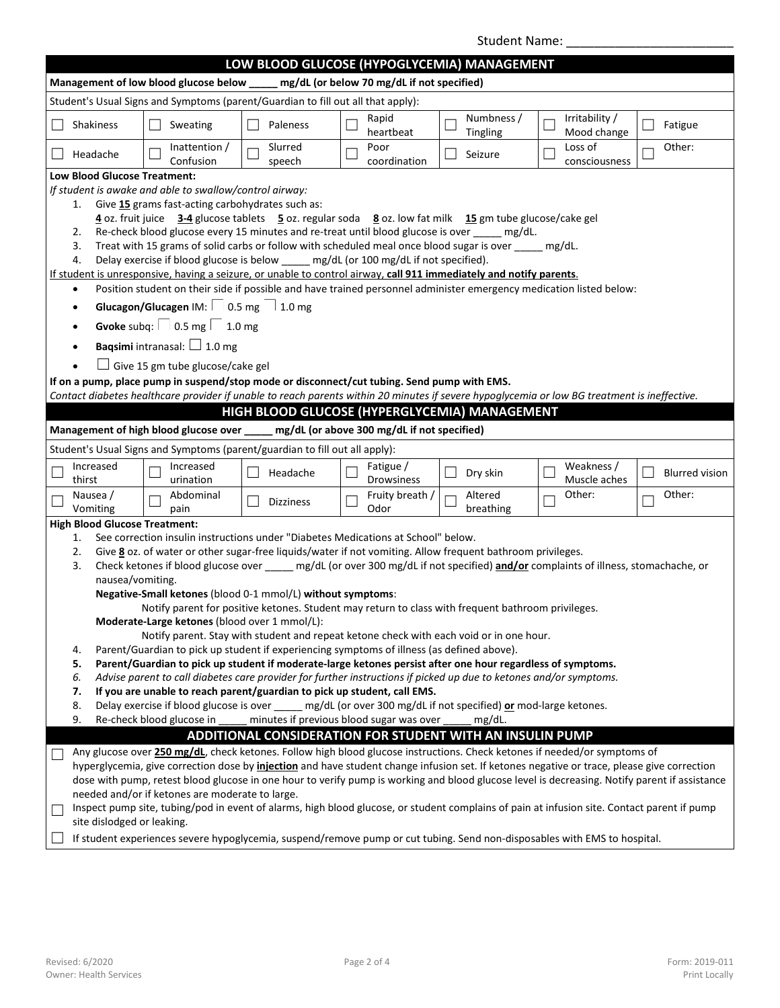|                                                                                                                                                                                                                                                                                                                                                                                                                                                                                                                                                                                                                                                                                                                                                                                                                                                                                                                                                                                                                                                                                                                                                                                                                                                                                                                                                      | <b>Student Name:</b>                                                                                                                                                                                                                                                                                                                                                                                                                                                                                                                                                                                                                                                                                                                                                                             |                                                                                     |                                                                             |                                                                                             |                        |                                                                                                                                              |                       |  |
|------------------------------------------------------------------------------------------------------------------------------------------------------------------------------------------------------------------------------------------------------------------------------------------------------------------------------------------------------------------------------------------------------------------------------------------------------------------------------------------------------------------------------------------------------------------------------------------------------------------------------------------------------------------------------------------------------------------------------------------------------------------------------------------------------------------------------------------------------------------------------------------------------------------------------------------------------------------------------------------------------------------------------------------------------------------------------------------------------------------------------------------------------------------------------------------------------------------------------------------------------------------------------------------------------------------------------------------------------|--------------------------------------------------------------------------------------------------------------------------------------------------------------------------------------------------------------------------------------------------------------------------------------------------------------------------------------------------------------------------------------------------------------------------------------------------------------------------------------------------------------------------------------------------------------------------------------------------------------------------------------------------------------------------------------------------------------------------------------------------------------------------------------------------|-------------------------------------------------------------------------------------|-----------------------------------------------------------------------------|---------------------------------------------------------------------------------------------|------------------------|----------------------------------------------------------------------------------------------------------------------------------------------|-----------------------|--|
| LOW BLOOD GLUCOSE (HYPOGLYCEMIA) MANAGEMENT                                                                                                                                                                                                                                                                                                                                                                                                                                                                                                                                                                                                                                                                                                                                                                                                                                                                                                                                                                                                                                                                                                                                                                                                                                                                                                          |                                                                                                                                                                                                                                                                                                                                                                                                                                                                                                                                                                                                                                                                                                                                                                                                  |                                                                                     |                                                                             |                                                                                             |                        |                                                                                                                                              |                       |  |
|                                                                                                                                                                                                                                                                                                                                                                                                                                                                                                                                                                                                                                                                                                                                                                                                                                                                                                                                                                                                                                                                                                                                                                                                                                                                                                                                                      |                                                                                                                                                                                                                                                                                                                                                                                                                                                                                                                                                                                                                                                                                                                                                                                                  |                                                                                     |                                                                             |                                                                                             |                        |                                                                                                                                              |                       |  |
| Management of low blood glucose below _<br>mg/dL (or below 70 mg/dL if not specified)                                                                                                                                                                                                                                                                                                                                                                                                                                                                                                                                                                                                                                                                                                                                                                                                                                                                                                                                                                                                                                                                                                                                                                                                                                                                |                                                                                                                                                                                                                                                                                                                                                                                                                                                                                                                                                                                                                                                                                                                                                                                                  |                                                                                     |                                                                             |                                                                                             |                        |                                                                                                                                              |                       |  |
| Student's Usual Signs and Symptoms (parent/Guardian to fill out all that apply):                                                                                                                                                                                                                                                                                                                                                                                                                                                                                                                                                                                                                                                                                                                                                                                                                                                                                                                                                                                                                                                                                                                                                                                                                                                                     |                                                                                                                                                                                                                                                                                                                                                                                                                                                                                                                                                                                                                                                                                                                                                                                                  |                                                                                     |                                                                             |                                                                                             |                        |                                                                                                                                              |                       |  |
|                                                                                                                                                                                                                                                                                                                                                                                                                                                                                                                                                                                                                                                                                                                                                                                                                                                                                                                                                                                                                                                                                                                                                                                                                                                                                                                                                      | Shakiness                                                                                                                                                                                                                                                                                                                                                                                                                                                                                                                                                                                                                                                                                                                                                                                        | Sweating                                                                            | Paleness                                                                    | Rapid<br>heartbeat                                                                          | Numbness /<br>Tingling | Irritability /<br>Mood change                                                                                                                | Fatigue               |  |
|                                                                                                                                                                                                                                                                                                                                                                                                                                                                                                                                                                                                                                                                                                                                                                                                                                                                                                                                                                                                                                                                                                                                                                                                                                                                                                                                                      | Headache                                                                                                                                                                                                                                                                                                                                                                                                                                                                                                                                                                                                                                                                                                                                                                                         | Inattention /<br>Confusion                                                          | Slurred<br>speech                                                           | Poor<br>coordination                                                                        | Seizure                | Loss of<br>consciousness                                                                                                                     | Other:                |  |
|                                                                                                                                                                                                                                                                                                                                                                                                                                                                                                                                                                                                                                                                                                                                                                                                                                                                                                                                                                                                                                                                                                                                                                                                                                                                                                                                                      | <b>Low Blood Glucose Treatment:</b>                                                                                                                                                                                                                                                                                                                                                                                                                                                                                                                                                                                                                                                                                                                                                              |                                                                                     |                                                                             |                                                                                             |                        |                                                                                                                                              |                       |  |
| $\bullet$                                                                                                                                                                                                                                                                                                                                                                                                                                                                                                                                                                                                                                                                                                                                                                                                                                                                                                                                                                                                                                                                                                                                                                                                                                                                                                                                            | If student is awake and able to swallow/control airway:<br>Give 15 grams fast-acting carbohydrates such as:<br>1.<br>4 oz. fruit juice 3-4 glucose tablets 5 oz. regular soda 8 oz. low fat milk 15 gm tube glucose/cake gel<br>Re-check blood glucose every 15 minutes and re-treat until blood glucose is over _____ mg/dL.<br>2.<br>Treat with 15 grams of solid carbs or follow with scheduled meal once blood sugar is over _____ mg/dL.<br>3.<br>Delay exercise if blood glucose is below _____ mg/dL (or 100 mg/dL if not specified).<br>4.<br>If student is unresponsive, having a seizure, or unable to control airway, call 911 immediately and notify parents.<br>Position student on their side if possible and have trained personnel administer emergency medication listed below: |                                                                                     |                                                                             |                                                                                             |                        |                                                                                                                                              |                       |  |
|                                                                                                                                                                                                                                                                                                                                                                                                                                                                                                                                                                                                                                                                                                                                                                                                                                                                                                                                                                                                                                                                                                                                                                                                                                                                                                                                                      | $\bullet$                                                                                                                                                                                                                                                                                                                                                                                                                                                                                                                                                                                                                                                                                                                                                                                        | Glucagon/Glucagen IM: 0.5 mg 1.0 mg                                                 |                                                                             |                                                                                             |                        |                                                                                                                                              |                       |  |
|                                                                                                                                                                                                                                                                                                                                                                                                                                                                                                                                                                                                                                                                                                                                                                                                                                                                                                                                                                                                                                                                                                                                                                                                                                                                                                                                                      |                                                                                                                                                                                                                                                                                                                                                                                                                                                                                                                                                                                                                                                                                                                                                                                                  |                                                                                     |                                                                             |                                                                                             |                        |                                                                                                                                              |                       |  |
|                                                                                                                                                                                                                                                                                                                                                                                                                                                                                                                                                                                                                                                                                                                                                                                                                                                                                                                                                                                                                                                                                                                                                                                                                                                                                                                                                      | $\bullet$                                                                                                                                                                                                                                                                                                                                                                                                                                                                                                                                                                                                                                                                                                                                                                                        | Gvoke subq: $\begin{array}{ c c } \hline \text{0.5 mg} & \text{1.0 mg} \end{array}$ |                                                                             |                                                                                             |                        |                                                                                                                                              |                       |  |
|                                                                                                                                                                                                                                                                                                                                                                                                                                                                                                                                                                                                                                                                                                                                                                                                                                                                                                                                                                                                                                                                                                                                                                                                                                                                                                                                                      |                                                                                                                                                                                                                                                                                                                                                                                                                                                                                                                                                                                                                                                                                                                                                                                                  | <b>Baqsimi</b> intranasal: $\Box$ 1.0 mg                                            |                                                                             |                                                                                             |                        |                                                                                                                                              |                       |  |
|                                                                                                                                                                                                                                                                                                                                                                                                                                                                                                                                                                                                                                                                                                                                                                                                                                                                                                                                                                                                                                                                                                                                                                                                                                                                                                                                                      |                                                                                                                                                                                                                                                                                                                                                                                                                                                                                                                                                                                                                                                                                                                                                                                                  | Give 15 gm tube glucose/cake gel                                                    |                                                                             |                                                                                             |                        |                                                                                                                                              |                       |  |
|                                                                                                                                                                                                                                                                                                                                                                                                                                                                                                                                                                                                                                                                                                                                                                                                                                                                                                                                                                                                                                                                                                                                                                                                                                                                                                                                                      |                                                                                                                                                                                                                                                                                                                                                                                                                                                                                                                                                                                                                                                                                                                                                                                                  |                                                                                     |                                                                             | If on a pump, place pump in suspend/stop mode or disconnect/cut tubing. Send pump with EMS. |                        |                                                                                                                                              |                       |  |
|                                                                                                                                                                                                                                                                                                                                                                                                                                                                                                                                                                                                                                                                                                                                                                                                                                                                                                                                                                                                                                                                                                                                                                                                                                                                                                                                                      |                                                                                                                                                                                                                                                                                                                                                                                                                                                                                                                                                                                                                                                                                                                                                                                                  |                                                                                     |                                                                             |                                                                                             |                        | Contact diabetes healthcare provider if unable to reach parents within 20 minutes if severe hypoglycemia or low BG treatment is ineffective. |                       |  |
|                                                                                                                                                                                                                                                                                                                                                                                                                                                                                                                                                                                                                                                                                                                                                                                                                                                                                                                                                                                                                                                                                                                                                                                                                                                                                                                                                      |                                                                                                                                                                                                                                                                                                                                                                                                                                                                                                                                                                                                                                                                                                                                                                                                  |                                                                                     |                                                                             | HIGH BLOOD GLUCOSE (HYPERGLYCEMIA) MANAGEMENT                                               |                        |                                                                                                                                              |                       |  |
|                                                                                                                                                                                                                                                                                                                                                                                                                                                                                                                                                                                                                                                                                                                                                                                                                                                                                                                                                                                                                                                                                                                                                                                                                                                                                                                                                      |                                                                                                                                                                                                                                                                                                                                                                                                                                                                                                                                                                                                                                                                                                                                                                                                  |                                                                                     |                                                                             | Management of high blood glucose over _____ mg/dL (or above 300 mg/dL if not specified)     |                        |                                                                                                                                              |                       |  |
|                                                                                                                                                                                                                                                                                                                                                                                                                                                                                                                                                                                                                                                                                                                                                                                                                                                                                                                                                                                                                                                                                                                                                                                                                                                                                                                                                      |                                                                                                                                                                                                                                                                                                                                                                                                                                                                                                                                                                                                                                                                                                                                                                                                  |                                                                                     | Student's Usual Signs and Symptoms (parent/guardian to fill out all apply): |                                                                                             |                        |                                                                                                                                              |                       |  |
|                                                                                                                                                                                                                                                                                                                                                                                                                                                                                                                                                                                                                                                                                                                                                                                                                                                                                                                                                                                                                                                                                                                                                                                                                                                                                                                                                      | Increased<br>thirst                                                                                                                                                                                                                                                                                                                                                                                                                                                                                                                                                                                                                                                                                                                                                                              | Increased<br>urination                                                              | Headache                                                                    | Fatigue /<br>Drowsiness                                                                     | Dry skin               | Weakness /<br>Muscle aches                                                                                                                   | <b>Blurred vision</b> |  |
|                                                                                                                                                                                                                                                                                                                                                                                                                                                                                                                                                                                                                                                                                                                                                                                                                                                                                                                                                                                                                                                                                                                                                                                                                                                                                                                                                      | Nausea /<br>Vomiting                                                                                                                                                                                                                                                                                                                                                                                                                                                                                                                                                                                                                                                                                                                                                                             | Abdominal<br>pain                                                                   | <b>Dizziness</b>                                                            | Fruity breath /<br>Odor                                                                     | Altered<br>breathing   | Other:                                                                                                                                       | Other:                |  |
|                                                                                                                                                                                                                                                                                                                                                                                                                                                                                                                                                                                                                                                                                                                                                                                                                                                                                                                                                                                                                                                                                                                                                                                                                                                                                                                                                      | <b>High Blood Glucose Treatment:</b>                                                                                                                                                                                                                                                                                                                                                                                                                                                                                                                                                                                                                                                                                                                                                             |                                                                                     |                                                                             |                                                                                             |                        |                                                                                                                                              |                       |  |
| See correction insulin instructions under "Diabetes Medications at School" below.<br>1.<br>Give 8 oz. of water or other sugar-free liquids/water if not vomiting. Allow frequent bathroom privileges.<br>2.<br>Check ketones if blood glucose over _____ mg/dL (or over 300 mg/dL if not specified) and/or complaints of illness, stomachache, or<br>3.<br>nausea/vomiting.<br>Negative-Small ketones (blood 0-1 mmol/L) without symptoms:<br>Notify parent for positive ketones. Student may return to class with frequent bathroom privileges.<br>Moderate-Large ketones (blood over 1 mmol/L):<br>Notify parent. Stay with student and repeat ketone check with each void or in one hour.<br>Parent/Guardian to pick up student if experiencing symptoms of illness (as defined above).<br>4.<br>Parent/Guardian to pick up student if moderate-large ketones persist after one hour regardless of symptoms.<br>5.<br>Advise parent to call diabetes care provider for further instructions if picked up due to ketones and/or symptoms.<br>6.<br>If you are unable to reach parent/guardian to pick up student, call EMS.<br>7.<br>8.<br>Delay exercise if blood glucose is over _____ mg/dL (or over 300 mg/dL if not specified) or mod-large ketones.<br>Re-check blood glucose in<br>minutes if previous blood sugar was over<br>9.<br>mg/dL. |                                                                                                                                                                                                                                                                                                                                                                                                                                                                                                                                                                                                                                                                                                                                                                                                  |                                                                                     |                                                                             |                                                                                             |                        |                                                                                                                                              |                       |  |
| ADDITIONAL CONSIDERATION FOR STUDENT WITH AN INSULIN PUMP                                                                                                                                                                                                                                                                                                                                                                                                                                                                                                                                                                                                                                                                                                                                                                                                                                                                                                                                                                                                                                                                                                                                                                                                                                                                                            |                                                                                                                                                                                                                                                                                                                                                                                                                                                                                                                                                                                                                                                                                                                                                                                                  |                                                                                     |                                                                             |                                                                                             |                        |                                                                                                                                              |                       |  |
| Any glucose over 250 mg/dL, check ketones. Follow high blood glucose instructions. Check ketones if needed/or symptoms of<br>hyperglycemia, give correction dose by injection and have student change infusion set. If ketones negative or trace, please give correction<br>dose with pump, retest blood glucose in one hour to verify pump is working and blood glucose level is decreasing. Notify parent if assistance<br>needed and/or if ketones are moderate to large.<br>Inspect pump site, tubing/pod in event of alarms, high blood glucose, or student complains of pain at infusion site. Contact parent if pump<br>site dislodged or leaking.                                                                                                                                                                                                                                                                                                                                                                                                                                                                                                                                                                                                                                                                                            |                                                                                                                                                                                                                                                                                                                                                                                                                                                                                                                                                                                                                                                                                                                                                                                                  |                                                                                     |                                                                             |                                                                                             |                        |                                                                                                                                              |                       |  |
|                                                                                                                                                                                                                                                                                                                                                                                                                                                                                                                                                                                                                                                                                                                                                                                                                                                                                                                                                                                                                                                                                                                                                                                                                                                                                                                                                      |                                                                                                                                                                                                                                                                                                                                                                                                                                                                                                                                                                                                                                                                                                                                                                                                  |                                                                                     |                                                                             |                                                                                             |                        | If student experiences severe hypoglycemia, suspend/remove pump or cut tubing. Send non-disposables with EMS to hospital.                    |                       |  |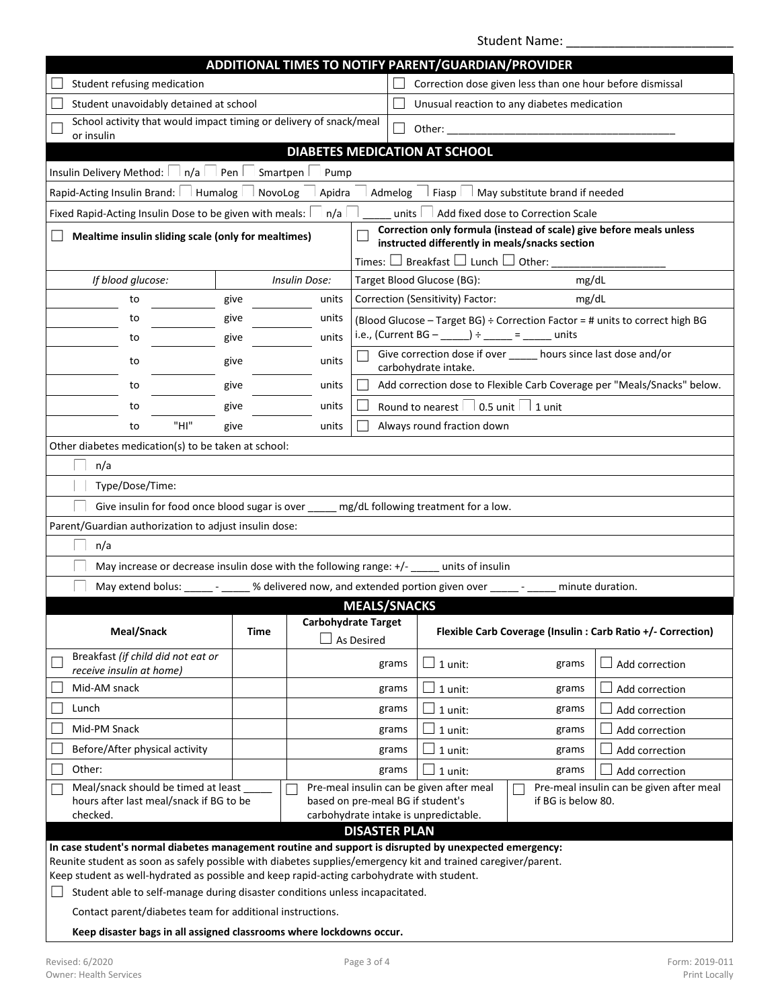Student Name:

| ADDITIONAL TIMES TO NOTIFY PARENT/GUARDIAN/PROVIDER                                                                                                                                                                     |                                                                                                                                                                                                                                        |                     |                                                           |                                                                                          |                                    |                                                                              |  |
|-------------------------------------------------------------------------------------------------------------------------------------------------------------------------------------------------------------------------|----------------------------------------------------------------------------------------------------------------------------------------------------------------------------------------------------------------------------------------|---------------------|-----------------------------------------------------------|------------------------------------------------------------------------------------------|------------------------------------|------------------------------------------------------------------------------|--|
| Student refusing medication                                                                                                                                                                                             |                                                                                                                                                                                                                                        |                     | Correction dose given less than one hour before dismissal |                                                                                          |                                    |                                                                              |  |
| Student unavoidably detained at school                                                                                                                                                                                  |                                                                                                                                                                                                                                        |                     |                                                           | Unusual reaction to any diabetes medication                                              |                                    |                                                                              |  |
| School activity that would impact timing or delivery of snack/meal<br>Other:<br>or insulin                                                                                                                              |                                                                                                                                                                                                                                        |                     |                                                           |                                                                                          |                                    |                                                                              |  |
|                                                                                                                                                                                                                         |                                                                                                                                                                                                                                        |                     |                                                           | DIABETES MEDICATION AT SCHOOL                                                            |                                    |                                                                              |  |
| Insulin Delivery Method:<br>n/a                                                                                                                                                                                         | Smartpen<br>Pen                                                                                                                                                                                                                        | Pump                |                                                           |                                                                                          |                                    |                                                                              |  |
| Rapid-Acting Insulin Brand:<br>Humalog                                                                                                                                                                                  | NovoLog                                                                                                                                                                                                                                | Apidra              | Admelog                                                   | Fiasp                                                                                    | May substitute brand if needed     |                                                                              |  |
| Fixed Rapid-Acting Insulin Dose to be given with meals:                                                                                                                                                                 |                                                                                                                                                                                                                                        | n/a                 | units                                                     |                                                                                          | Add fixed dose to Correction Scale |                                                                              |  |
|                                                                                                                                                                                                                         | Correction only formula (instead of scale) give before meals unless<br>Mealtime insulin sliding scale (only for mealtimes)<br>instructed differently in meals/snacks section<br>Times: $\Box$ Breakfast $\Box$ Lunch $\Box$ Other: ___ |                     |                                                           |                                                                                          |                                    |                                                                              |  |
| If blood glucose:                                                                                                                                                                                                       |                                                                                                                                                                                                                                        | Insulin Dose:       |                                                           | Target Blood Glucose (BG):                                                               | mg/dL                              |                                                                              |  |
| to                                                                                                                                                                                                                      | give                                                                                                                                                                                                                                   | units               |                                                           | Correction (Sensitivity) Factor:                                                         | mg/dL                              |                                                                              |  |
| to                                                                                                                                                                                                                      | give                                                                                                                                                                                                                                   | units               |                                                           |                                                                                          |                                    | (Blood Glucose - Target BG) ÷ Correction Factor = # units to correct high BG |  |
| to                                                                                                                                                                                                                      | give                                                                                                                                                                                                                                   | units               |                                                           | i.e., (Current BG - ______) ÷ _____ = ______ units                                       |                                    |                                                                              |  |
| to                                                                                                                                                                                                                      | give                                                                                                                                                                                                                                   | units               |                                                           | Give correction dose if over ______ hours since last dose and/or<br>carbohydrate intake. |                                    |                                                                              |  |
| to                                                                                                                                                                                                                      | give                                                                                                                                                                                                                                   | units               |                                                           |                                                                                          |                                    | Add correction dose to Flexible Carb Coverage per "Meals/Snacks" below.      |  |
| to                                                                                                                                                                                                                      | give                                                                                                                                                                                                                                   | units               | $\Box$                                                    | Round to nearest $\Box$ 0.5 unit $\Box$ 1 unit                                           |                                    |                                                                              |  |
| "HI"<br>to                                                                                                                                                                                                              | give                                                                                                                                                                                                                                   | units               |                                                           | Always round fraction down                                                               |                                    |                                                                              |  |
| Other diabetes medication(s) to be taken at school:                                                                                                                                                                     |                                                                                                                                                                                                                                        |                     |                                                           |                                                                                          |                                    |                                                                              |  |
| n/a                                                                                                                                                                                                                     |                                                                                                                                                                                                                                        |                     |                                                           |                                                                                          |                                    |                                                                              |  |
| Type/Dose/Time:                                                                                                                                                                                                         |                                                                                                                                                                                                                                        |                     |                                                           |                                                                                          |                                    |                                                                              |  |
| Give insulin for food once blood sugar is over _____ mg/dL following treatment for a low.                                                                                                                               |                                                                                                                                                                                                                                        |                     |                                                           |                                                                                          |                                    |                                                                              |  |
| Parent/Guardian authorization to adjust insulin dose:                                                                                                                                                                   |                                                                                                                                                                                                                                        |                     |                                                           |                                                                                          |                                    |                                                                              |  |
| n/a                                                                                                                                                                                                                     |                                                                                                                                                                                                                                        |                     |                                                           |                                                                                          |                                    |                                                                              |  |
| May increase or decrease insulin dose with the following range: +/- _____ units of insulin                                                                                                                              |                                                                                                                                                                                                                                        |                     |                                                           |                                                                                          |                                    |                                                                              |  |
| May extend bolus:                                                                                                                                                                                                       |                                                                                                                                                                                                                                        |                     |                                                           | % delivered now, and extended portion given over ______ - __                             |                                    | minute duration.                                                             |  |
|                                                                                                                                                                                                                         |                                                                                                                                                                                                                                        |                     | <b>MEALS/SNACKS</b>                                       |                                                                                          |                                    |                                                                              |  |
| Meal/Snack                                                                                                                                                                                                              | Time                                                                                                                                                                                                                                   | Carbohydrate Target | As Desired                                                |                                                                                          |                                    | Flexible Carb Coverage (Insulin : Carb Ratio +/- Correction)                 |  |
| Breakfast (if child did not eat or<br>receive insulin at home)                                                                                                                                                          |                                                                                                                                                                                                                                        |                     | grams                                                     | 1 unit:                                                                                  | grams                              | Add correction                                                               |  |
| Mid-AM snack                                                                                                                                                                                                            |                                                                                                                                                                                                                                        |                     | grams                                                     | 1 unit:                                                                                  | grams                              | Add correction                                                               |  |
| Lunch                                                                                                                                                                                                                   |                                                                                                                                                                                                                                        |                     | grams                                                     | 1 unit:                                                                                  | grams                              | Add correction                                                               |  |
| Mid-PM Snack                                                                                                                                                                                                            |                                                                                                                                                                                                                                        |                     | grams                                                     | 1 unit:                                                                                  | grams                              | Add correction                                                               |  |
| Before/After physical activity                                                                                                                                                                                          |                                                                                                                                                                                                                                        |                     | grams                                                     | 1 unit:                                                                                  | grams                              | Add correction                                                               |  |
| Other:                                                                                                                                                                                                                  |                                                                                                                                                                                                                                        |                     | grams                                                     | 1 unit:                                                                                  | grams                              | Add correction                                                               |  |
| Pre-meal insulin can be given after meal<br>Meal/snack should be timed at least<br>Pre-meal insulin can be given after meal                                                                                             |                                                                                                                                                                                                                                        |                     |                                                           |                                                                                          |                                    |                                                                              |  |
| hours after last meal/snack if BG to be<br>based on pre-meal BG if student's<br>if BG is below 80.<br>checked.<br>carbohydrate intake is unpredictable.                                                                 |                                                                                                                                                                                                                                        |                     |                                                           |                                                                                          |                                    |                                                                              |  |
| <b>DISASTER PLAN</b>                                                                                                                                                                                                    |                                                                                                                                                                                                                                        |                     |                                                           |                                                                                          |                                    |                                                                              |  |
| In case student's normal diabetes management routine and support is disrupted by unexpected emergency:<br>Reunite student as soon as safely possible with diabetes supplies/emergency kit and trained caregiver/parent. |                                                                                                                                                                                                                                        |                     |                                                           |                                                                                          |                                    |                                                                              |  |
| Keep student as well-hydrated as possible and keep rapid-acting carbohydrate with student.                                                                                                                              |                                                                                                                                                                                                                                        |                     |                                                           |                                                                                          |                                    |                                                                              |  |
| Student able to self-manage during disaster conditions unless incapacitated.                                                                                                                                            |                                                                                                                                                                                                                                        |                     |                                                           |                                                                                          |                                    |                                                                              |  |
| Contact parent/diabetes team for additional instructions.                                                                                                                                                               |                                                                                                                                                                                                                                        |                     |                                                           |                                                                                          |                                    |                                                                              |  |
| Keep disaster bags in all assigned classrooms where lockdowns occur.                                                                                                                                                    |                                                                                                                                                                                                                                        |                     |                                                           |                                                                                          |                                    |                                                                              |  |